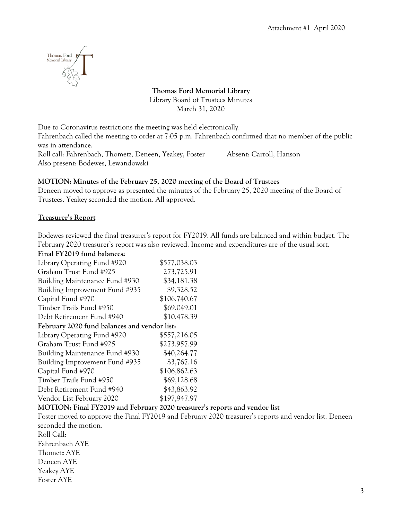

**Thomas Ford Memorial Library** Library Board of Trustees Minutes March 31, 2020

Due to Coronavirus restrictions the meeting was held electronically.

Fahrenbach called the meeting to order at 7:05 p.m. Fahrenbach confirmed that no member of the public was in attendance.

Roll call: Fahrenbach, Thometz, Deneen, Yeakey, Foster Absent: Carroll, Hanson Also present: Bodewes, Lewandowski

#### **MOTION: Minutes of the February 25, 2020 meeting of the Board of Trustees**

Deneen moved to approve as presented the minutes of the February 25, 2020 meeting of the Board of Trustees. Yeakey seconded the motion. All approved.

#### **Treasurer's Report**

Bodewes reviewed the final treasurer's report for FY2019. All funds are balanced and within budget. The February 2020 treasurer's report was also reviewed. Income and expenditures are of the usual sort.

#### **Final FY2019 fund balances:**

| Library Operating Fund #920                  | \$577,038.03 |
|----------------------------------------------|--------------|
| Graham Trust Fund #925                       | 273,725.91   |
| Building Maintenance Fund #930               | \$34,181.38  |
| Building Improvement Fund #935               | \$9,328.52   |
| Capital Fund #970                            | \$106,740.67 |
| Timber Trails Fund #950                      | \$69,049.01  |
| Debt Retirement Fund #940                    | \$10,478.39  |
| February 2020 fund balances and vendor list: |              |
| Library Operating Fund #920                  | \$557,216.05 |
| Graham Trust Fund #925                       | \$273.957.99 |
| Building Maintenance Fund #930               | \$40,264.77  |
| Building Improvement Fund #935               | \$3,767.16   |
| Capital Fund #970                            | \$106,862.63 |
| Timber Trails Fund #950                      | \$69,128.68  |
| Debt Retirement Fund #940                    | \$43,863.92  |
| Vendor List February 2020                    | \$197,947.97 |

#### **MOTION: Final FY2019 and February 2020 treasurer's reports and vendor list**

Foster moved to approve the Final FY2019 and February 2020 treasurer's reports and vendor list. Deneen seconded the motion.

Roll Call: Fahrenbach AYE Thometz AYE Deneen AYE Yeakey AYE Foster AYE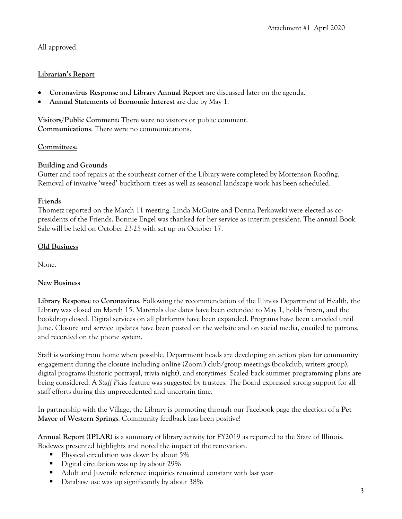# All approved.

## **Librarian's Report**

- **Coronavirus Response** and **Library Annual Report** are discussed later on the agenda.
- **Annual Statements of Economic Interest** are due by May 1.

**Visitors/Public Comment:** There were no visitors or public comment. **Communications**: There were no communications.

## **Committees:**

## **Building and Grounds**

Gutter and roof repairs at the southeast corner of the Library were completed by Mortenson Roofing. Removal of invasive 'weed' buckthorn trees as well as seasonal landscape work has been scheduled.

#### **Friends**

Thometz reported on the March 11 meeting. Linda McGuire and Donna Perkowski were elected as copresidents of the Friends. Bonnie Engel was thanked for her service as interim president. The annual Book Sale will be held on October 23-25 with set up on October 17.

## **Old Business**

None.

# **New Business**

**Library Response to Coronavirus**. Following the recommendation of the Illinois Department of Health, the Library was closed on March 15. Materials due dates have been extended to May 1, holds frozen, and the bookdrop closed. Digital services on all platforms have been expanded. Programs have been canceled until June. Closure and service updates have been posted on the website and on social media, emailed to patrons, and recorded on the phone system.

Staff is working from home when possible. Department heads are developing an action plan for community engagement during the closure including online (Zoom!) club/group meetings (bookclub, writers group), digital programs (historic portrayal, trivia night), and storytimes. Scaled back summer programming plans are being considered. A *Staff Picks* feature was suggested by trustees. The Board expressed strong support for all staff efforts during this unprecedented and uncertain time.

In partnership with the Village, the Library is promoting through our Facebook page the election of a **Pet Mayor of Western Springs**. Community feedback has been positive!

**Annual Report (IPLAR)** is a summary of library activity for FY2019 as reported to the State of Illinois. Bodewes presented highlights and noted the impact of the renovation.

- Physical circulation was down by about 5%
- Digital circulation was up by about 29%
- Adult and Juvenile reference inquiries remained constant with last year
- Database use was up significantly by about 38%